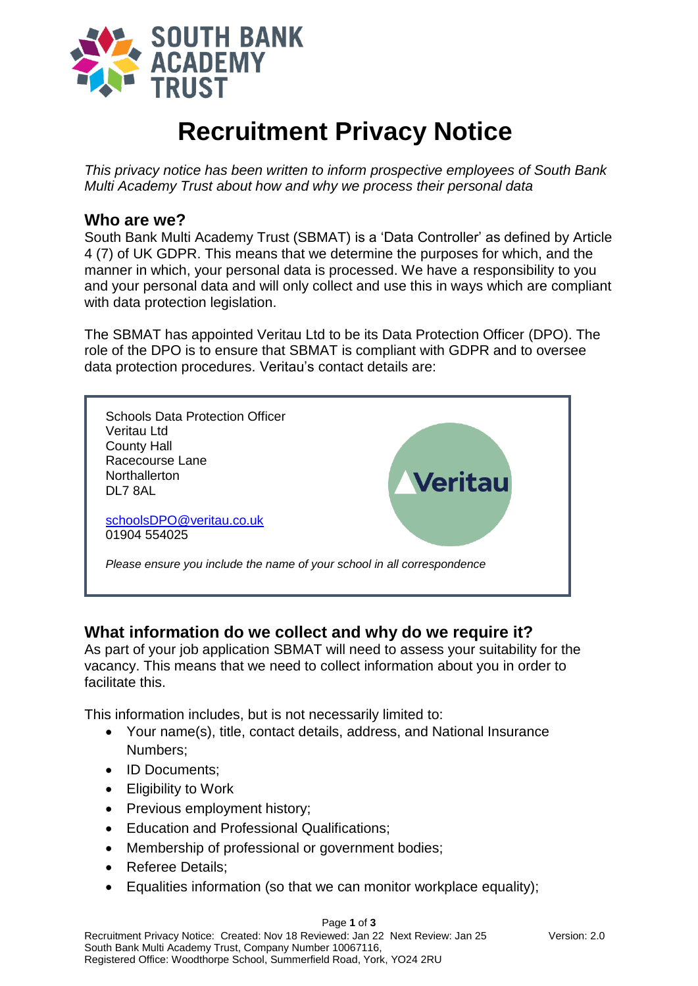

# **Recruitment Privacy Notice**

*This privacy notice has been written to inform prospective employees of South Bank Multi Academy Trust about how and why we process their personal data*

#### **Who are we?**

South Bank Multi Academy Trust (SBMAT) is a 'Data Controller' as defined by Article 4 (7) of UK GDPR. This means that we determine the purposes for which, and the manner in which, your personal data is processed. We have a responsibility to you and your personal data and will only collect and use this in ways which are compliant with data protection legislation.

The SBMAT has appointed Veritau Ltd to be its Data Protection Officer (DPO). The role of the DPO is to ensure that SBMAT is compliant with GDPR and to oversee data protection procedures. Veritau's contact details are:



# **What information do we collect and why do we require it?**

As part of your job application SBMAT will need to assess your suitability for the vacancy. This means that we need to collect information about you in order to facilitate this.

This information includes, but is not necessarily limited to:

- Your name(s), title, contact details, address, and National Insurance Numbers;
- ID Documents:
- Eligibility to Work
- Previous employment history;
- Education and Professional Qualifications;
- Membership of professional or government bodies;
- Referee Details:
- Equalities information (so that we can monitor workplace equality);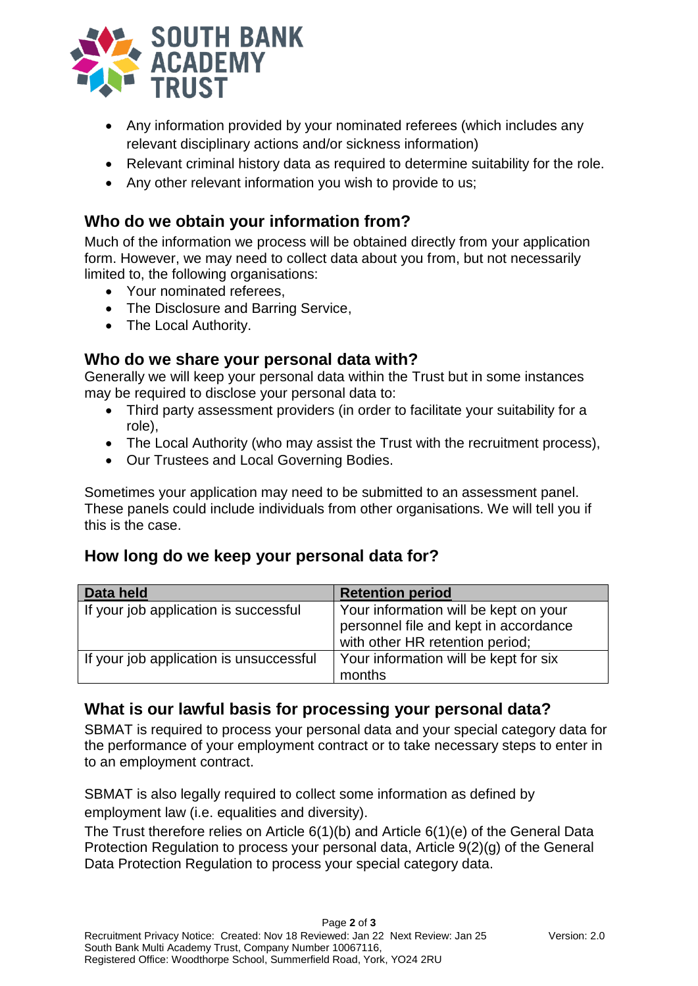

- Any information provided by your nominated referees (which includes any relevant disciplinary actions and/or sickness information)
- Relevant criminal history data as required to determine suitability for the role.
- Any other relevant information you wish to provide to us;

### **Who do we obtain your information from?**

Much of the information we process will be obtained directly from your application form. However, we may need to collect data about you from, but not necessarily limited to, the following organisations:

- Your nominated referees.
- The Disclosure and Barring Service,
- The Local Authority.

#### **Who do we share your personal data with?**

Generally we will keep your personal data within the Trust but in some instances may be required to disclose your personal data to:

- Third party assessment providers (in order to facilitate your suitability for a role),
- The Local Authority (who may assist the Trust with the recruitment process),
- Our Trustees and Local Governing Bodies.

Sometimes your application may need to be submitted to an assessment panel. These panels could include individuals from other organisations. We will tell you if this is the case.

#### **How long do we keep your personal data for?**

| Data held                               | <b>Retention period</b>                                                                                           |
|-----------------------------------------|-------------------------------------------------------------------------------------------------------------------|
| If your job application is successful   | Your information will be kept on your<br>personnel file and kept in accordance<br>with other HR retention period; |
| If your job application is unsuccessful | Your information will be kept for six<br>months                                                                   |

# **What is our lawful basis for processing your personal data?**

SBMAT is required to process your personal data and your special category data for the performance of your employment contract or to take necessary steps to enter in to an employment contract.

SBMAT is also legally required to collect some information as defined by employment law (i.e. equalities and diversity).

The Trust therefore relies on Article 6(1)(b) and Article 6(1)(e) of the General Data Protection Regulation to process your personal data, Article 9(2)(g) of the General Data Protection Regulation to process your special category data.